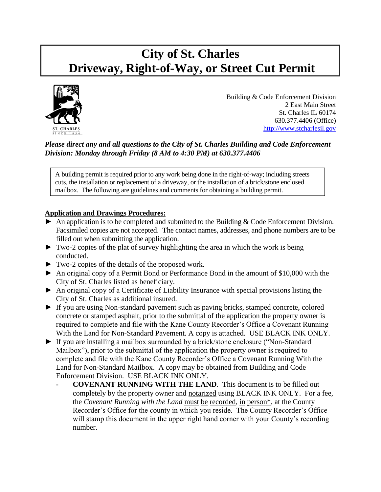# **City of St. Charles Driveway, Right-of-Way, or Street Cut Permit**



Building & Code Enforcement Division 2 East Main Street St. Charles IL 60174 630.377.4406 (Office) [http://www.stcharlesil.gov](http://www.stcharlesil.gov/)

## *Please direct any and all questions to the City of St. Charles Building and Code Enforcement Division: Monday through Friday (8 AM to 4:30 PM) at 630.377.4406*

A building permit is required prior to any work being done in the right-of-way; including streets cuts, the installation or replacement of a driveway, or the installation of a brick/stone enclosed mailbox. The following are guidelines and comments for obtaining a building permit.

## **Application and Drawings Procedures:**

- ► An application is to be completed and submitted to the Building & Code Enforcement Division. Facsimiled copies are not accepted. The contact names, addresses, and phone numbers are to be filled out when submitting the application.
- $\blacktriangleright$  Two-2 copies of the plat of survey highlighting the area in which the work is being conducted.
- ► Two-2 copies of the details of the proposed work.
- ► An original copy of a Permit Bond or Performance Bond in the amount of \$10,000 with the City of St. Charles listed as beneficiary.
- ► An original copy of a Certificate of Liability Insurance with special provisions listing the City of St. Charles as additional insured.
- ► If you are using Non-standard pavement such as paving bricks, stamped concrete, colored concrete or stamped asphalt, prior to the submittal of the application the property owner is required to complete and file with the Kane County Recorder's Office a Covenant Running With the Land for Non-Standard Pavement. A copy is attached. USE BLACK INK ONLY.
- ► If you are installing a mailbox surrounded by a brick/stone enclosure ("Non-Standard Mailbox"), prior to the submittal of the application the property owner is required to complete and file with the Kane County Recorder's Office a Covenant Running With the Land for Non-Standard Mailbox. A copy may be obtained from Building and Code Enforcement Division. USE BLACK INK ONLY.
	- **- COVENANT RUNNING WITH THE LAND**. This document is to be filled out completely by the property owner and notarized using BLACK INK ONLY. For a fee, the *Covenant Running with the Land* must be recorded, in person\*, at the County Recorder's Office for the county in which you reside. The County Recorder's Office will stamp this document in the upper right hand corner with your County's recording number.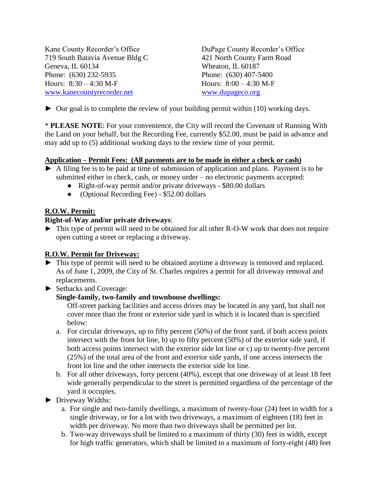Kane County Recorder's Office<br>
719 South Batavia Avenue Bldg C<br>
421 North County Farm Road 719 South Batavia Avenue Bldg C Geneva, IL 60134 Wheaton, IL 60187 Phone: (630) 232-5935 Phone: (630) 407-5400 Hours: 8:30 – 4:30 M-F Hours: 8:00 – 4:30 M-F [www.kanecountyrecorder.net](http://www.kanecountyrecorder.net/) [www.dupageco.org](http://www.dupageco.org/)

 $\triangleright$  Our goal is to complete the review of your building permit within (10) working days.

\* **PLEASE NOTE**: For your convenience, the City will record the Covenant of Running With the Land on your behalf, but the Recording Fee, currently \$52.00, must be paid in advance and may add up to (5) additional working days to the review time of your permit.

## **Application – Permit Fees: (All payments are to be made in either a check or cash)**

- $\triangleright$  A filing fee is to be paid at time of submission of application and plans. Payment is to be submitted either in check, cash, or money order – no electronic payments accepted:
	- Right-of-way permit and/or private driveways \$80.00 dollars
	- (Optional Recording Fee) \$52.00 dollars

#### **R.O.W. Permit:**

# **Right-of-Way and/or private driveways**:

► This type of permit will need to be obtained for all other R-O-W work that does not require open cutting a street or replacing a driveway.

## **R.O.W. Permit for Driveway:**

- ► This type of permit will need to be obtained anytime a driveway is removed and replaced. As of June 1, 2009, the City of St. Charles requires a permit for all driveway removal and replacements.
- ► Setbacks and Coverage:

# **Single-family, two-family and townhouse dwellings:**

Off-street parking facilities and access drives may be located in any yard, but shall not cover more than the front or exterior side yard in which it is located than is specified below:

- a. For circular driveways, up to fifty percent (50%) of the front yard, if both access points intersect with the front lot line, b) up to fifty percent (50%) of the exterior side yard, if both access points intersect with the exterior side lot line or c) up to twenty-five percent (25%) of the total area of the front and exterior side yards, if one access intersects the front lot line and the other intersects the exterior side lot line.
- b. For all other driveways, forty percent (40%), except that one driveway of at least 18 feet wide generally perpendicular to the street is permitted regardless of the percentage of the yard it occupies.
- ► Driveway Widths:
	- a. For single and two-family dwellings, a maximum of twenty-four (24) feet in width for a single driveway, or for a lot with two driveways, a maximum of eighteen (18) feet in width per driveway. No more than two driveways shall be permitted per lot.
	- b. Two-way driveways shall be limited to a maximum of thirty (30) feet in width, except for high traffic generators, which shall be limited to a maximum of forty-eight (48) feet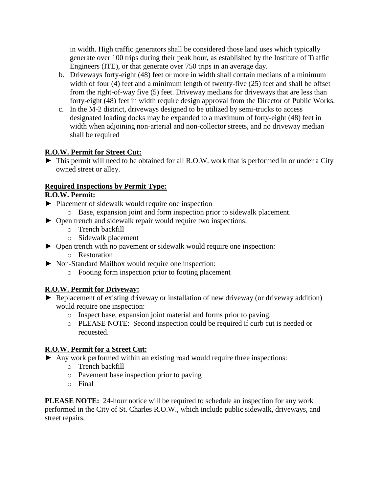in width. High traffic generators shall be considered those land uses which typically generate over 100 trips during their peak hour, as established by the Institute of Traffic Engineers (ITE), or that generate over 750 trips in an average day.

- b. Driveways forty-eight (48) feet or more in width shall contain medians of a minimum width of four (4) feet and a minimum length of twenty-five (25) feet and shall be offset from the right-of-way five (5) feet. Driveway medians for driveways that are less than forty-eight (48) feet in width require design approval from the Director of Public Works.
- c. In the M-2 district, driveways designed to be utilized by semi-trucks to access designated loading docks may be expanded to a maximum of forty-eight (48) feet in width when adjoining non-arterial and non-collector streets, and no driveway median shall be required

## **R.O.W. Permit for Street Cut:**

► This permit will need to be obtained for all R.O.W. work that is performed in or under a City owned street or alley.

## **Required Inspections by Permit Type:**

## **R.O.W. Permit:**

- ► Placement of sidewalk would require one inspection
	- o Base, expansion joint and form inspection prior to sidewalk placement.
- ► Open trench and sidewalk repair would require two inspections:
	- o Trench backfill
	- o Sidewalk placement
- ► Open trench with no pavement or sidewalk would require one inspection:
	- o Restoration
- ► Non-Standard Mailbox would require one inspection:
	- o Footing form inspection prior to footing placement

# **R.O.W. Permit for Driveway:**

- ► Replacement of existing driveway or installation of new driveway (or driveway addition) would require one inspection:
	- o Inspect base, expansion joint material and forms prior to paving.
	- o PLEASE NOTE: Second inspection could be required if curb cut is needed or requested.

## **R.O.W. Permit for a Street Cut:**

- ► Any work performed within an existing road would require three inspections:
	- o Trench backfill
	- o Pavement base inspection prior to paving
	- o Final

**PLEASE NOTE:** 24-hour notice will be required to schedule an inspection for any work performed in the City of St. Charles R.O.W., which include public sidewalk, driveways, and street repairs.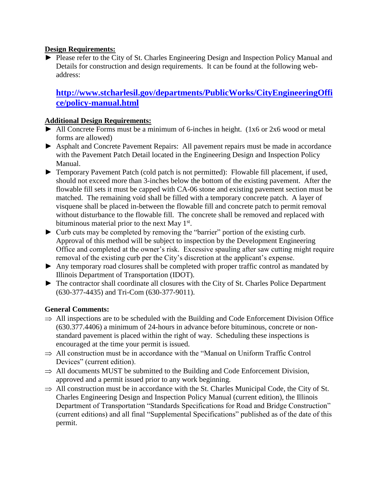#### **Design Requirements:**

► Please refer to the City of St. Charles Engineering Design and Inspection Policy Manual and Details for construction and design requirements. It can be found at the following webaddress:

# **[http://www.stcharlesil.gov/departments/PublicWorks/CityEngineeringOffi](http://www.stcharlesil.gov/departments/PublicWorks/CityEngineeringOffice/policy-manual.html) [ce/policy-manual.html](http://www.stcharlesil.gov/departments/PublicWorks/CityEngineeringOffice/policy-manual.html)**

#### **Additional Design Requirements:**

- $\blacktriangleright$  All Concrete Forms must be a minimum of 6-inches in height. (1x6 or 2x6 wood or metal forms are allowed)
- ► Asphalt and Concrete Pavement Repairs: All pavement repairs must be made in accordance with the Pavement Patch Detail located in the Engineering Design and Inspection Policy Manual.
- ► Temporary Pavement Patch (cold patch is not permitted): Flowable fill placement, if used, should not exceed more than 3-inches below the bottom of the existing pavement. After the flowable fill sets it must be capped with CA-06 stone and existing pavement section must be matched. The remaining void shall be filled with a temporary concrete patch. A layer of visquene shall be placed in-between the flowable fill and concrete patch to permit removal without disturbance to the flowable fill. The concrete shall be removed and replaced with bituminous material prior to the next May 1<sup>st</sup>.
- ► Curb cuts may be completed by removing the "barrier" portion of the existing curb. Approval of this method will be subject to inspection by the Development Engineering Office and completed at the owner's risk. Excessive spauling after saw cutting might require removal of the existing curb per the City's discretion at the applicant's expense.
- ► Any temporary road closures shall be completed with proper traffic control as mandated by Illinois Department of Transportation (IDOT).
- ► The contractor shall coordinate all closures with the City of St. Charles Police Department (630-377-4435) and Tri-Com (630-377-9011).

#### **General Comments:**

- $\Rightarrow$  All inspections are to be scheduled with the Building and Code Enforcement Division Office (630.377.4406) a minimum of 24-hours in advance before bituminous, concrete or nonstandard pavement is placed within the right of way. Scheduling these inspections is encouraged at the time your permit is issued.
- $\Rightarrow$  All construction must be in accordance with the "Manual on Uniform Traffic Control" Devices" (current edition).
- $\Rightarrow$  All documents MUST be submitted to the Building and Code Enforcement Division, approved and a permit issued prior to any work beginning.
- $\Rightarrow$  All construction must be in accordance with the St. Charles Municipal Code, the City of St. Charles Engineering Design and Inspection Policy Manual (current edition), the Illinois Department of Transportation "Standards Specifications for Road and Bridge Construction" (current editions) and all final "Supplemental Specifications" published as of the date of this permit.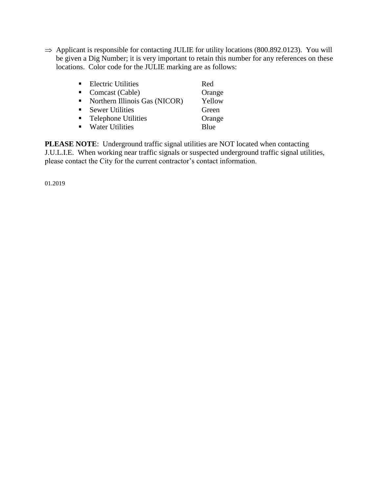$\Rightarrow$  Applicant is responsible for contacting JULIE for utility locations (800.892.0123). You will be given a Dig Number; it is very important to retain this number for any references on these locations. Color code for the JULIE marking are as follows:

|                | <b>Electric Utilities</b>       | Red         |
|----------------|---------------------------------|-------------|
|                | Comcast (Cable)                 | Orange      |
|                | • Northern Illinois Gas (NICOR) | Yellow      |
|                | <b>Sewer Utilities</b>          | Green       |
| $\blacksquare$ | <b>Telephone Utilities</b>      | Orange      |
|                | • Water Utilities               | <b>Blue</b> |

**PLEASE NOTE**: Underground traffic signal utilities are NOT located when contacting J.U.L.I.E. When working near traffic signals or suspected underground traffic signal utilities, please contact the City for the current contractor's contact information.

01.2019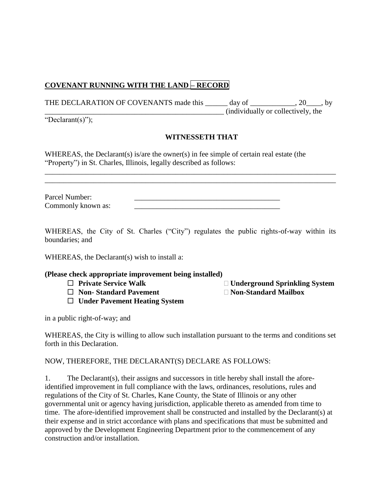## **COVENANT RUNNING WITH THE LAND – RECORD**

THE DECLARATION OF COVENANTS made this \_\_\_\_\_\_ day of \_\_\_\_\_\_\_\_\_\_, 20\_\_\_, by \_\_\_\_\_\_\_\_\_\_\_\_\_\_\_\_\_\_\_\_\_\_\_\_\_\_\_\_\_\_\_\_\_\_\_\_\_\_\_\_\_\_\_\_\_\_\_\_ (individually or collectively, the

"Declarant(s)");

#### **WITNESSETH THAT**

WHEREAS, the Declarant(s) is/are the owner(s) in fee simple of certain real estate (the "Property") in St. Charles, Illinois, legally described as follows:

| Parcel Number:     |  |
|--------------------|--|
| Commonly known as: |  |

WHEREAS, the City of St. Charles ("City") regulates the public rights-of-way within its boundaries; and

\_\_\_\_\_\_\_\_\_\_\_\_\_\_\_\_\_\_\_\_\_\_\_\_\_\_\_\_\_\_\_\_\_\_\_\_\_\_\_\_\_\_\_\_\_\_\_\_\_\_\_\_\_\_\_\_\_\_\_\_\_\_\_\_\_\_\_\_\_\_\_\_\_\_\_\_\_\_ \_\_\_\_\_\_\_\_\_\_\_\_\_\_\_\_\_\_\_\_\_\_\_\_\_\_\_\_\_\_\_\_\_\_\_\_\_\_\_\_\_\_\_\_\_\_\_\_\_\_\_\_\_\_\_\_\_\_\_\_\_\_\_\_\_\_\_\_\_\_\_\_\_\_\_\_\_\_

WHEREAS, the Declarant(s) wish to install a:

#### **(Please check appropriate improvement being installed)**

- 
- **Non- Standard Pavement Non-Standard Mailbox**
- **Under Pavement Heating System**

in a public right-of-way; and

WHEREAS, the City is willing to allow such installation pursuant to the terms and conditions set forth in this Declaration.

NOW, THEREFORE, THE DECLARANT(S) DECLARE AS FOLLOWS:

1. The Declarant(s), their assigns and successors in title hereby shall install the aforeidentified improvement in full compliance with the laws, ordinances, resolutions, rules and regulations of the City of St. Charles, Kane County, the State of Illinois or any other governmental unit or agency having jurisdiction, applicable thereto as amended from time to time. The afore-identified improvement shall be constructed and installed by the Declarant(s) at their expense and in strict accordance with plans and specifications that must be submitted and approved by the Development Engineering Department prior to the commencement of any construction and/or installation.

□ Private Service Walk **Democratic Underground Sprinkling System**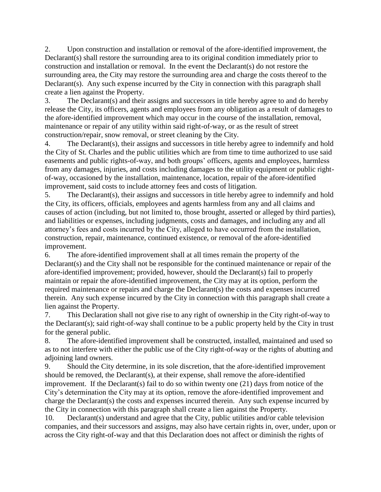2. Upon construction and installation or removal of the afore-identified improvement, the Declarant(s) shall restore the surrounding area to its original condition immediately prior to construction and installation or removal. In the event the Declarant(s) do not restore the surrounding area, the City may restore the surrounding area and charge the costs thereof to the Declarant(s). Any such expense incurred by the City in connection with this paragraph shall create a lien against the Property.

3. The Declarant(s) and their assigns and successors in title hereby agree to and do hereby release the City, its officers, agents and employees from any obligation as a result of damages to the afore-identified improvement which may occur in the course of the installation, removal, maintenance or repair of any utility within said right-of-way, or as the result of street construction/repair, snow removal, or street cleaning by the City.

4. The Declarant(s), their assigns and successors in title hereby agree to indemnify and hold the City of St. Charles and the public utilities which are from time to time authorized to use said easements and public rights-of-way, and both groups' officers, agents and employees, harmless from any damages, injuries, and costs including damages to the utility equipment or public rightof-way, occasioned by the installation, maintenance, location, repair of the afore-identified improvement, said costs to include attorney fees and costs of litigation.

5. The Declarant(s), their assigns and successors in title hereby agree to indemnify and hold the City, its officers, officials, employees and agents harmless from any and all claims and causes of action (including, but not limited to, those brought, asserted or alleged by third parties), and liabilities or expenses, including judgments, costs and damages, and including any and all attorney's fees and costs incurred by the City, alleged to have occurred from the installation, construction, repair, maintenance, continued existence, or removal of the afore-identified improvement.

6. The afore-identified improvement shall at all times remain the property of the Declarant(s) and the City shall not be responsible for the continued maintenance or repair of the afore-identified improvement; provided, however, should the Declarant(s) fail to properly maintain or repair the afore-identified improvement, the City may at its option, perform the required maintenance or repairs and charge the Declarant(s) the costs and expenses incurred therein. Any such expense incurred by the City in connection with this paragraph shall create a lien against the Property.

7. This Declaration shall not give rise to any right of ownership in the City right-of-way to the Declarant(s); said right-of-way shall continue to be a public property held by the City in trust for the general public.

8. The afore-identified improvement shall be constructed, installed, maintained and used so as to not interfere with either the public use of the City right-of-way or the rights of abutting and adjoining land owners.

9. Should the City determine, in its sole discretion, that the afore-identified improvement should be removed, the Declarant(s), at their expense, shall remove the afore-identified improvement. If the Declarant(s) fail to do so within twenty one (21) days from notice of the City's determination the City may at its option, remove the afore-identified improvement and charge the Declarant(s) the costs and expenses incurred therein. Any such expense incurred by the City in connection with this paragraph shall create a lien against the Property.

10. Declarant(s) understand and agree that the City, public utilities and/or cable television companies, and their successors and assigns, may also have certain rights in, over, under, upon or across the City right-of-way and that this Declaration does not affect or diminish the rights of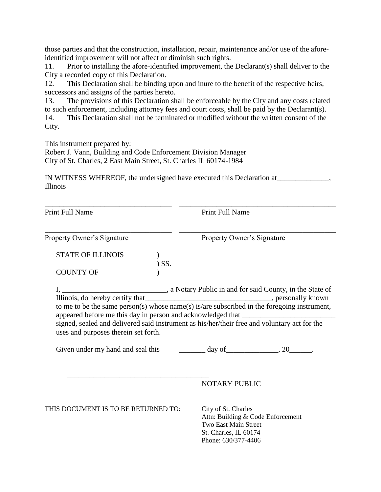those parties and that the construction, installation, repair, maintenance and/or use of the aforeidentified improvement will not affect or diminish such rights.

11. Prior to installing the afore-identified improvement, the Declarant(s) shall deliver to the City a recorded copy of this Declaration.

12. This Declaration shall be binding upon and inure to the benefit of the respective heirs, successors and assigns of the parties hereto.

13. The provisions of this Declaration shall be enforceable by the City and any costs related to such enforcement, including attorney fees and court costs, shall be paid by the Declarant(s).

14. This Declaration shall not be terminated or modified without the written consent of the City.

This instrument prepared by:

Robert J. Vann, Building and Code Enforcement Division Manager City of St. Charles, 2 East Main Street, St. Charles IL 60174-1984

IN WITNESS WHEREOF, the undersigned have executed this Declaration at\_\_\_\_\_\_\_\_\_\_\_\_\_\_, Illinois

| <b>Print Full Name</b>                                                                                                                                                                                                     | Print Full Name                                                                                                                  |  |
|----------------------------------------------------------------------------------------------------------------------------------------------------------------------------------------------------------------------------|----------------------------------------------------------------------------------------------------------------------------------|--|
| Property Owner's Signature                                                                                                                                                                                                 | Property Owner's Signature                                                                                                       |  |
| <b>STATE OF ILLINOIS</b><br>$)$ SS.                                                                                                                                                                                        |                                                                                                                                  |  |
| <b>COUNTY OF</b>                                                                                                                                                                                                           |                                                                                                                                  |  |
| signed, sealed and delivered said instrument as his/her/their free and voluntary act for the<br>uses and purposes therein set forth.<br>Given under my hand and seal this ___________ day of ________________, 20________. | to me to be the same person(s) whose name(s) is/are subscribed in the foregoing instrument,                                      |  |
|                                                                                                                                                                                                                            | <b>NOTARY PUBLIC</b>                                                                                                             |  |
| THIS DOCUMENT IS TO BE RETURNED TO:                                                                                                                                                                                        | City of St. Charles<br>Attn: Building & Code Enforcement<br>Two East Main Street<br>St. Charles, IL 60174<br>Phone: 630/377-4406 |  |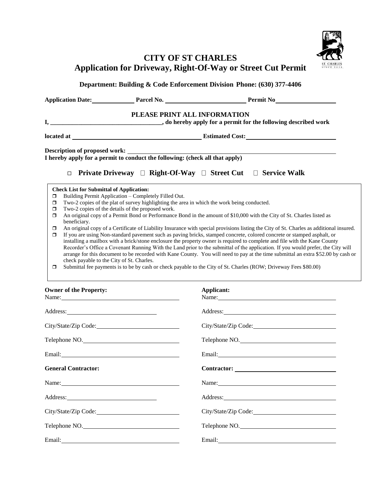

# **CITY OF ST CHARLES Application for Driveway, Right-Of-Way or Street Cut Permit**

**Department: Building & Code Enforcement Division Phone: (630) 377-4406**  Application Date: Parcel No. Permit No **PLEASE PRINT ALL INFORMATION I, \_\_\_\_\_\_\_\_\_\_\_\_\_\_\_\_\_\_\_\_\_\_\_\_\_\_\_\_\_\_\_\_\_\_\_\_, do hereby apply for a permit for the following described work located at located at located Cost: Description of proposed work: I hereby apply for a permit to conduct the following: (check all that apply) Private Driveway Right-Of-Way Street Cut Service Walk Check List for Submittal of Application:**  $\Box$  Building Permit Application – Completely Filled Out.  $\Box$  Two-2 copies of the plat of survey highlighting the area in which the work being conducted.  $\Box$  Two-2 copies of the details of the proposed work. An original copy of a Permit Bond or Performance Bond in the amount of \$10,000 with the City of St. Charles listed as beneficiary. An original copy of a Certificate of Liability Insurance with special provisions listing the City of St. Charles as additional insured. If you are using Non-standard pavement such as paving bricks, stamped concrete, colored concrete or stamped asphalt, or installing a mailbox with a brick/stone enclosure the property owner is required to complete and file with the Kane County Recorder's Office a Covenant Running With the Land prior to the submittal of the application. If you would prefer, the City will arrange for this document to be recorded with Kane County. You will need to pay at the time submittal an extra \$52.00 by cash or check payable to the City of St. Charles. Submittal fee payments is to be by cash or check payable to the City of St. Charles (ROW; Driveway Fees \$80.00)

| <b>Owner of the Property:</b><br>Name:                                                                                                                                                                                         | Applicant:<br>Name:  |
|--------------------------------------------------------------------------------------------------------------------------------------------------------------------------------------------------------------------------------|----------------------|
| Address: No. 1998                                                                                                                                                                                                              |                      |
| City/State/Zip Code:                                                                                                                                                                                                           |                      |
| Telephone NO.                                                                                                                                                                                                                  | Telephone NO.        |
|                                                                                                                                                                                                                                |                      |
| <b>General Contractor:</b>                                                                                                                                                                                                     |                      |
| Name:                                                                                                                                                                                                                          | Name:                |
|                                                                                                                                                                                                                                |                      |
| City/State/Zip Code:                                                                                                                                                                                                           | City/State/Zip Code: |
| Telephone NO.                                                                                                                                                                                                                  | Telephone NO.        |
| Email: The Commission of the Commission of the Commission of the Commission of the Commission of the Commission of the Commission of the Commission of the Commission of the Commission of the Commission of the Commission of |                      |